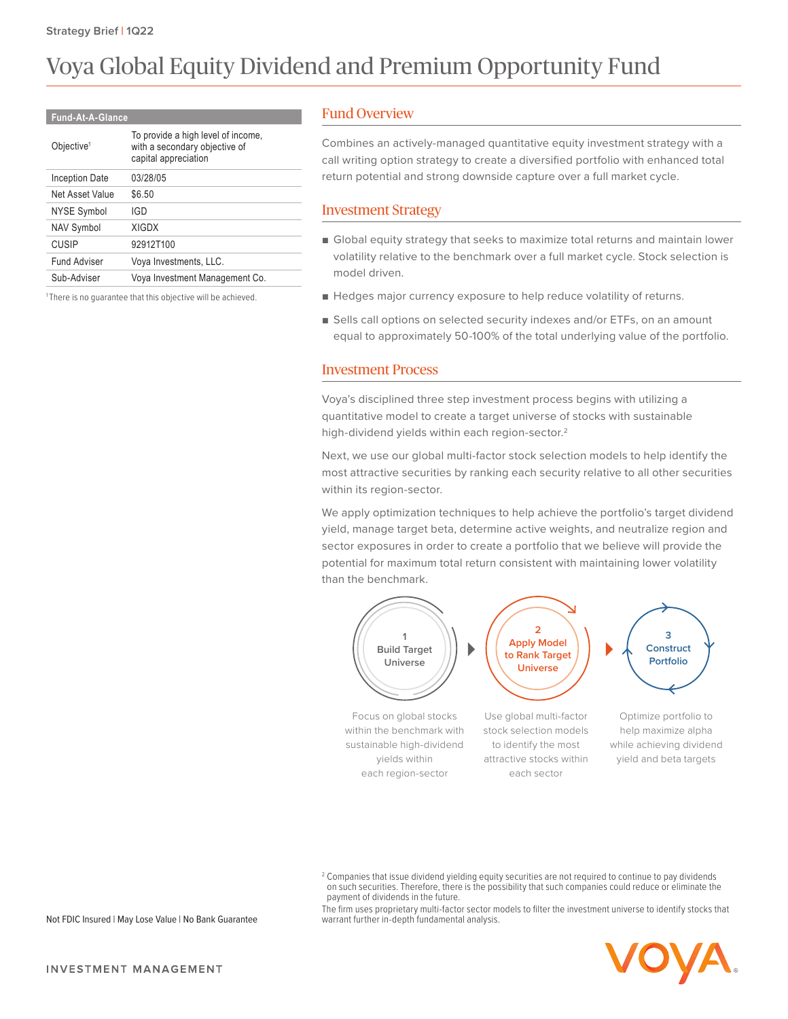# Voya Global Equity Dividend and Premium Opportunity Fund

#### **Fund-At-A-Glance**

| Objective <sup>1</sup> | To provide a high level of income,<br>with a secondary objective of<br>capital appreciation |
|------------------------|---------------------------------------------------------------------------------------------|
| Inception Date         | 03/28/05                                                                                    |
| Net Asset Value        | \$6.50                                                                                      |
| NYSE Symbol            | IGD                                                                                         |
| <b>NAV Symbol</b>      | <b>XIGDX</b>                                                                                |
| <b>CUSIP</b>           | 92912T100                                                                                   |
| Fund Adviser           | Voya Investments, LLC.                                                                      |
| Sub-Adviser            | Voya Investment Management Co.                                                              |
|                        |                                                                                             |

<sup>1</sup>There is no guarantee that this objective will be achieved.

### Fund Overview

Combines an actively-managed quantitative equity investment strategy with a call writing option strategy to create a diversified portfolio with enhanced total return potential and strong downside capture over a full market cycle.

#### Investment Strategy

- Global equity strategy that seeks to maximize total returns and maintain lower volatility relative to the benchmark over a full market cycle. Stock selection is model driven.
- Hedges major currency exposure to help reduce volatility of returns.
- Sells call options on selected security indexes and/or ETFs, on an amount equal to approximately 50-100% of the total underlying value of the portfolio.

#### Investment Process

Voya's disciplined three step investment process begins with utilizing a quantitative model to create a target universe of stocks with sustainable high-dividend yields within each region-sector.2

Next, we use our global multi-factor stock selection models to help identify the most attractive securities by ranking each security relative to all other securities within its region-sector.

We apply optimization techniques to help achieve the portfolio's target dividend yield, manage target beta, determine active weights, and neutralize region and sector exposures in order to create a portfolio that we believe will provide the potential for maximum total return consistent with maintaining lower volatility than the benchmark.



 $^2$  Companies that issue dividend yielding equity securities are not required to continue to pay dividends on such securities. Therefore, there is the possibility that such companies could reduce or eliminate the payment of dividends in the future.

The firm uses proprietary multi-factor sector models to filter the investment universe to identify stocks that warrant further in-depth fundamental analysis.



Not FDIC Insured | May Lose Value | No Bank Guarantee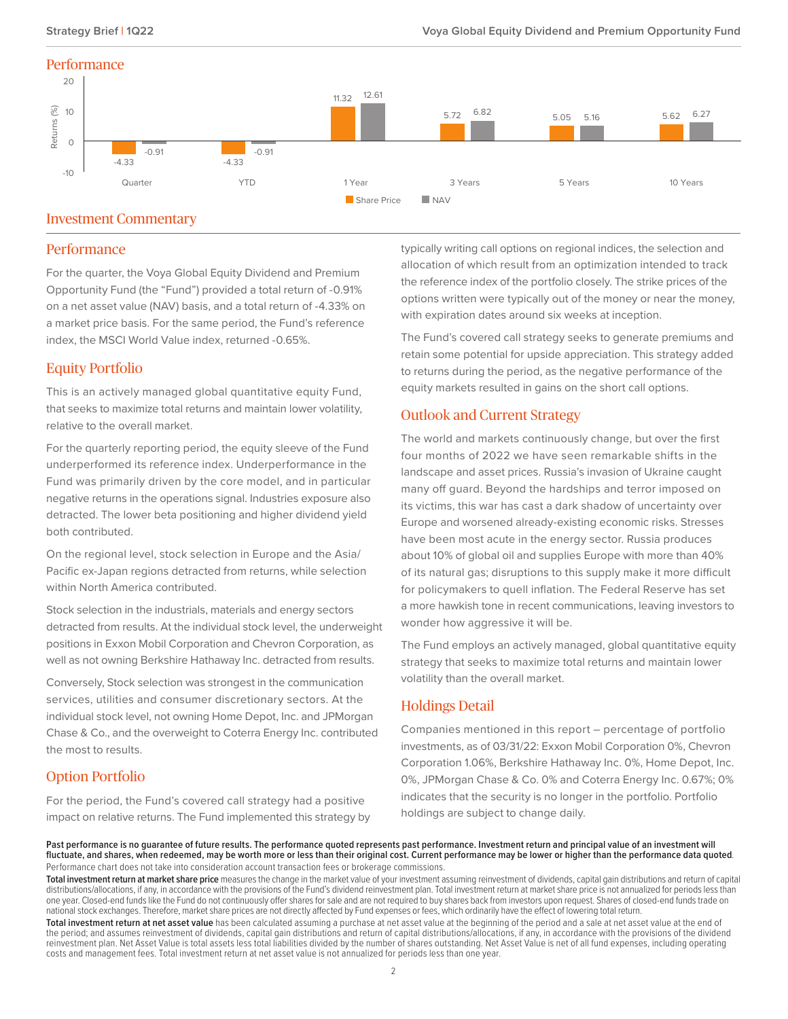### **Performance**



## Investment Commentary

#### **Performance**

For the quarter, the Voya Global Equity Dividend and Premium Opportunity Fund (the "Fund") provided a total return of -0.91% on a net asset value (NAV) basis, and a total return of -4.33% on a market price basis. For the same period, the Fund's reference index, the MSCI World Value index, returned -0.65%.

## Equity Portfolio

This is an actively managed global quantitative equity Fund, that seeks to maximize total returns and maintain lower volatility, relative to the overall market.

For the quarterly reporting period, the equity sleeve of the Fund underperformed its reference index. Underperformance in the Fund was primarily driven by the core model, and in particular negative returns in the operations signal. Industries exposure also detracted. The lower beta positioning and higher dividend yield both contributed.

On the regional level, stock selection in Europe and the Asia/ Pacific ex-Japan regions detracted from returns, while selection within North America contributed.

Stock selection in the industrials, materials and energy sectors detracted from results. At the individual stock level, the underweight positions in Exxon Mobil Corporation and Chevron Corporation, as well as not owning Berkshire Hathaway Inc. detracted from results.

Conversely, Stock selection was strongest in the communication services, utilities and consumer discretionary sectors. At the individual stock level, not owning Home Depot, Inc. and JPMorgan Chase & Co., and the overweight to Coterra Energy Inc. contributed the most to results.

# Option Portfolio

For the period, the Fund's covered call strategy had a positive impact on relative returns. The Fund implemented this strategy by

typically writing call options on regional indices, the selection and allocation of which result from an optimization intended to track the reference index of the portfolio closely. The strike prices of the options written were typically out of the money or near the money, with expiration dates around six weeks at inception.

The Fund's covered call strategy seeks to generate premiums and retain some potential for upside appreciation. This strategy added to returns during the period, as the negative performance of the equity markets resulted in gains on the short call options.

# Outlook and Current Strategy

The world and markets continuously change, but over the first four months of 2022 we have seen remarkable shifts in the landscape and asset prices. Russia's invasion of Ukraine caught many off guard. Beyond the hardships and terror imposed on its victims, this war has cast a dark shadow of uncertainty over Europe and worsened already-existing economic risks. Stresses have been most acute in the energy sector. Russia produces about 10% of global oil and supplies Europe with more than 40% of its natural gas; disruptions to this supply make it more difficult for policymakers to quell inflation. The Federal Reserve has set a more hawkish tone in recent communications, leaving investors to wonder how aggressive it will be.

The Fund employs an actively managed, global quantitative equity strategy that seeks to maximize total returns and maintain lower volatility than the overall market.

# Holdings Detail

Companies mentioned in this report – percentage of portfolio investments, as of 03/31/22: Exxon Mobil Corporation 0%, Chevron Corporation 1.06%, Berkshire Hathaway Inc. 0%, Home Depot, Inc. 0%, JPMorgan Chase & Co. 0% and Coterra Energy Inc. 0.67%; 0% indicates that the security is no longer in the portfolio. Portfolio holdings are subject to change daily.

Past performance is no guarantee of future results. The performance quoted represents past performance. Investment return and principal value of an investment will **fluctuate, and shares, when redeemed, may be worth more or less than their original cost. Current performance may be lower or higher than the performance data quoted**. Performance chart does not take into consideration account transaction fees or brokerage commissions.

Total investment return at market share price measures the change in the market value of your investment assuming reinvestment of dividends, capital gain distributions and return of capital distributions/allocations, if any, in accordance with the provisions of the Fund's dividend reinvestment plan. Total investment return at market share price is not annualized for periods less than one year. Closed-end funds like the Fund do not continuously offer shares for sale and are not required to buy shares back from investors upon request. Shares of closed-end funds trade on national stock exchanges. Therefore, market share prices are not directly affected by Fund expenses or fees, which ordinarily have the effect of lowering total return.

**Total investment return at net asset value** has been calculated assuming a purchase at net asset value at the beginning of the period and a sale at net asset value at the end of the period; and assumes reinvestment of dividends, capital gain distributions and return of capital distributions/allocations, if any, in accordance with the provisions of the dividend reinvestment plan. Net Asset Value is total assets less total liabilities divided by the number of shares outstanding. Net Asset Value is net of all fund expenses, including operating costs and management fees. Total investment return at net asset value is not annualized for periods less than one year.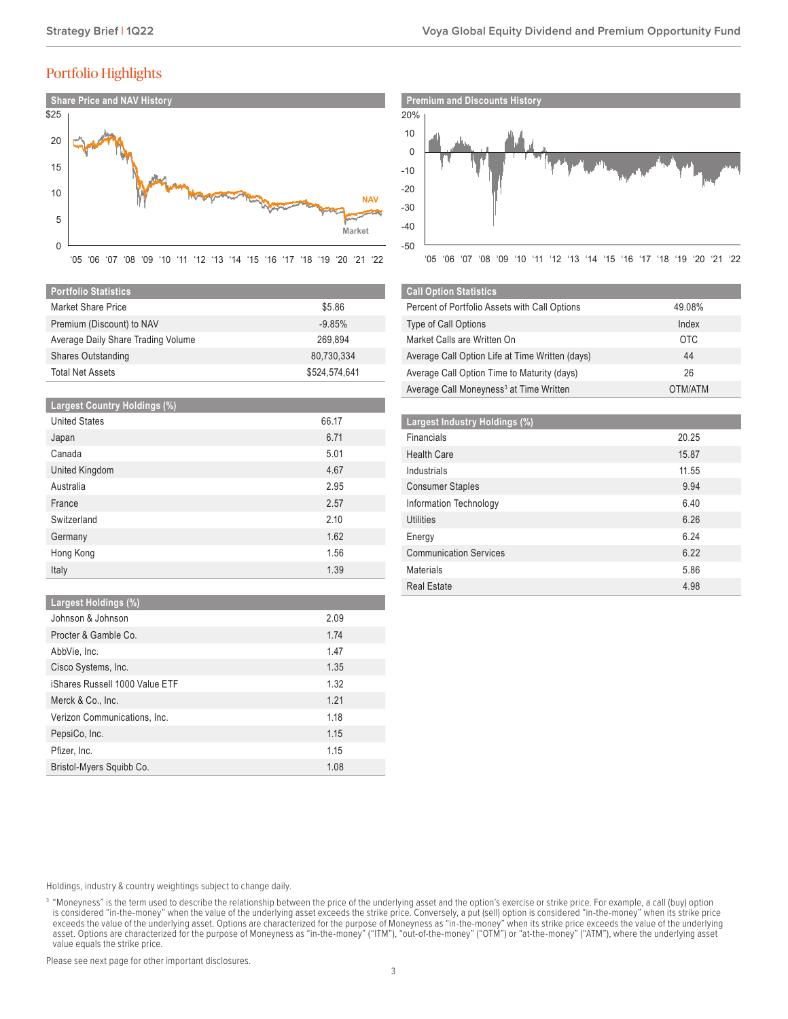# Portfolio Highlights



| <b>Portfolio Statistics</b>        |               |
|------------------------------------|---------------|
| Market Share Price                 | \$5.86        |
| Premium (Discount) to NAV          | $-9.85%$      |
| Average Daily Share Trading Volume | 269.894       |
| Shares Outstanding                 | 80,730,334    |
| <b>Total Net Assets</b>            | \$524,574,641 |

| <b>Largest Country Holdings (%)</b> |       |
|-------------------------------------|-------|
| <b>United States</b>                | 66.17 |
| Japan                               | 6.71  |
| Canada                              | 5.01  |
| United Kingdom                      | 4.67  |
| Australia                           | 2.95  |
| France                              | 2.57  |
| Switzerland                         | 2.10  |
| Germany                             | 1.62  |
| Hong Kong                           | 1.56  |
| Italy                               | 1.39  |

#### **Largest Holdings (%)**

| Johnson & Johnson              | 2.09 |
|--------------------------------|------|
| Procter & Gamble Co.           | 1.74 |
| AbbVie, Inc.                   | 1.47 |
| Cisco Systems, Inc.            | 1.35 |
| iShares Russell 1000 Value ETF | 1.32 |
| Merck & Co., Inc.              | 1.21 |
| Verizon Communications, Inc.   | 1.18 |
| PepsiCo, Inc.                  | 1.15 |
| Pfizer, Inc.                   | 1.15 |
| Bristol-Myers Squibb Co.       | 1.08 |
|                                |      |

-50 -30 -40 -10 20% 10 0 -20 '05 '06 '07 '08 '09 '10 '11 '12 '13 '14 '15 '16 '17 '18 '19 '20 '21 '22

| <b>Call Option Statistics</b>                       |            |
|-----------------------------------------------------|------------|
| Percent of Portfolio Assets with Call Options       | 49.08%     |
| <b>Type of Call Options</b>                         | Index      |
| Market Calls are Written On                         | <b>OTC</b> |
| Average Call Option Life at Time Written (days)     | 44         |
| Average Call Option Time to Maturity (days)         | 26         |
| Average Call Moneyness <sup>3</sup> at Time Written | OTM/ATM    |

| Largest Industry Holdings (%) |       |
|-------------------------------|-------|
| Financials                    | 20.25 |
| <b>Health Care</b>            | 15.87 |
| Industrials                   | 11.55 |
| <b>Consumer Staples</b>       | 9.94  |
| Information Technology        | 6.40  |
| Utilities                     | 6.26  |
| Energy                        | 6.24  |
| <b>Communication Services</b> | 6.22  |
| Materials                     | 5.86  |
| <b>Real Estate</b>            | 4.98  |

Holdings, industry & country weightings subject to change daily.

Please see next page for other important disclosures.

<sup>&</sup>lt;sup>3</sup> "Moneyness" is the term used to describe the relationship between the price of the underlying asset and the option's exercise or strike price. For example, a call (buy) option is considered "in-the-money" when the value of the underlying asset exceeds the strike price. Conversely, a put (sell) option is considered "in-the-money" when its strike price exceeds the value of the underlying asset. Options are characterized for the purpose of Moneyness as "in-the-money" when its strike price exceeds the value of the underlying asset. Options are characterized for the purpose of Moneyness as "in-the-money" ("ITM"), "out-of-the-money" ("OTM") or "at-the-money" ("ATM"), where the underlying asset value equals the strike price.